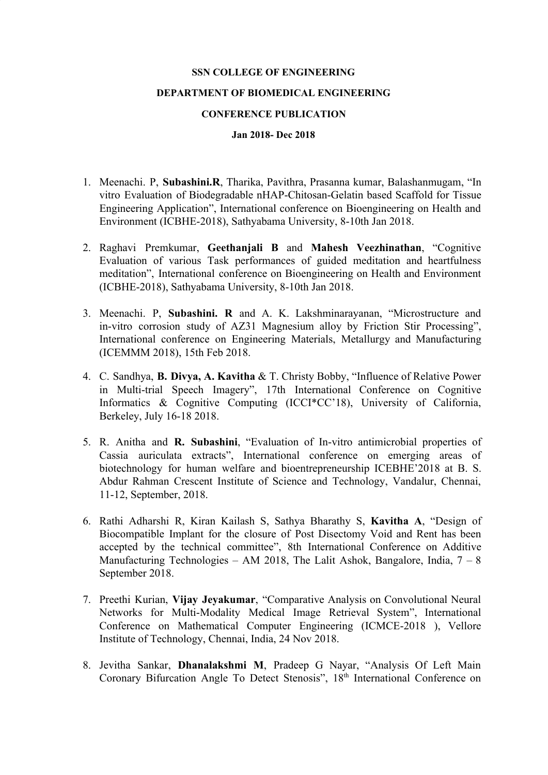## **SSN COLLEGE OF ENGINEERING**

## **DEPARTMENT OF BIOMEDICAL ENGINEERING**

## **CONFERENCE PUBLICATION**

## **Jan 2018- Dec 2018**

- 1. Meenachi. P, **Subashini.R**, Tharika, Pavithra, Prasanna kumar, Balashanmugam, "In vitro Evaluation of Biodegradable nHAP-Chitosan-Gelatin based Scaffold for Tissue Engineering Application", International conference on Bioengineering on Health and Environment (ICBHE-2018), Sathyabama University, 8-10th Jan 2018.
- 2. Raghavi Premkumar, **Geethanjali B** and **Mahesh Veezhinathan**, "Cognitive Evaluation of various Task performances of guided meditation and heartfulness meditation", International conference on Bioengineering on Health and Environment (ICBHE-2018), Sathyabama University, 8-10th Jan 2018.
- 3. Meenachi. P, **Subashini. R** and A. K. Lakshminarayanan, "Microstructure and in-vitro corrosion study of AZ31 Magnesium alloy by Friction Stir Processing", International conference on Engineering Materials, Metallurgy and Manufacturing (ICEMMM 2018), 15th Feb 2018.
- 4. C. Sandhya, **B. Divya, A. Kavitha** & T. Christy Bobby, "Influence of Relative Power in Multi-trial Speech Imagery", 17th International Conference on Cognitive Informatics & Cognitive Computing (ICCI\*CC'18), University of California, Berkeley, July 16-18 2018.
- 5. R. Anitha and **R. Subashini**, "Evaluation of In-vitro antimicrobial properties of Cassia auriculata extracts", International conference on emerging areas of biotechnology for human welfare and bioentrepreneurship ICEBHE'2018 at B. S. Abdur Rahman Crescent Institute of Science and Technology, Vandalur, Chennai, 11-12, September, 2018.
- 6. Rathi Adharshi R, Kiran Kailash S, Sathya Bharathy S, **Kavitha A**, "Design of Biocompatible Implant for the closure of Post Disectomy Void and Rent has been accepted by the technical committee", 8th International Conference on Additive Manufacturing Technologies – AM 2018, The Lalit Ashok, Bangalore, India,  $7 - 8$ September 2018.
- 7. Preethi Kurian, **Vijay Jeyakumar**, "Comparative Analysis on Convolutional Neural Networks for Multi-Modality Medical Image Retrieval System", International Conference on Mathematical Computer Engineering (ICMCE-2018 ), Vellore Institute of Technology, Chennai, India, 24 Nov 2018.
- 8. Jevitha Sankar, **Dhanalakshmi M**, Pradeep G Nayar, "Analysis Of Left Main Coronary Bifurcation Angle To Detect Stenosis", 18<sup>th</sup> International Conference on